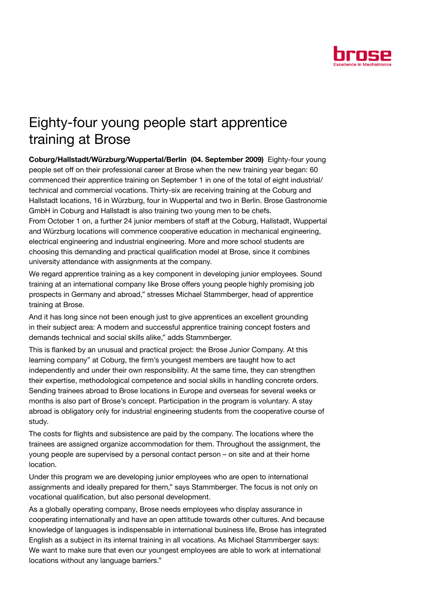

## Eighty-four young people start apprentice training at Brose

Coburg/Hallstadt/Würzburg/Wuppertal/Berlin (04. September 2009) Eighty-four young people set off on their professional career at Brose when the new training year began: 60 commenced their apprentice training on September 1 in one of the total of eight industrial/ technical and commercial vocations. Thirty-six are receiving training at the Coburg and Hallstadt locations, 16 in Würzburg, four in Wuppertal and two in Berlin. Brose Gastronomie GmbH in Coburg and Hallstadt is also training two young men to be chefs. From October 1 on, a further 24 junior members of staff at the Coburg, Hallstadt, Wuppertal and Würzburg locations will commence cooperative education in mechanical engineering, electrical engineering and industrial engineering. More and more school students are choosing this demanding and practical qualification model at Brose, since it combines university attendance with assignments at the company.

We regard apprentice training as a key component in developing junior employees. Sound training at an international company like Brose offers young people highly promising job prospects in Germany and abroad," stresses Michael Stammberger, head of apprentice training at Brose.

And it has long since not been enough just to give apprentices an excellent grounding in their subject area: A modern and successful apprentice training concept fosters and demands technical and social skills alike," adds Stammberger.

This is flanked by an unusual and practical project: the Brose Junior Company. At this learning company" at Coburg, the firm's youngest members are taught how to act independently and under their own responsibility. At the same time, they can strengthen their expertise, methodological competence and social skills in handling concrete orders. Sending trainees abroad to Brose locations in Europe and overseas for several weeks or months is also part of Brose's concept. Participation in the program is voluntary. A stay abroad is obligatory only for industrial engineering students from the cooperative course of study.

The costs for flights and subsistence are paid by the company. The locations where the trainees are assigned organize accommodation for them. Throughout the assignment, the young people are supervised by a personal contact person – on site and at their home location.

Under this program we are developing junior employees who are open to international assignments and ideally prepared for them," says Stammberger. The focus is not only on vocational qualification, but also personal development.

As a globally operating company, Brose needs employees who display assurance in cooperating internationally and have an open attitude towards other cultures. And because knowledge of languages is indispensable in international business life, Brose has integrated English as a subject in its internal training in all vocations. As Michael Stammberger says: We want to make sure that even our youngest employees are able to work at international locations without any language barriers."